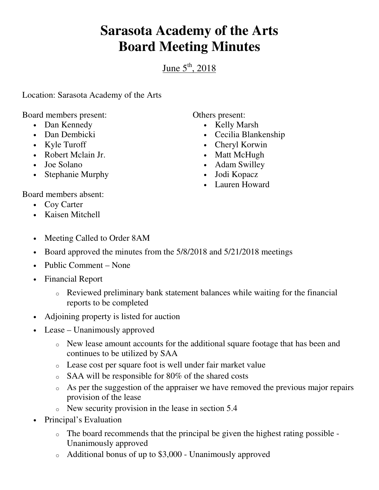## **Sarasota Academy of the Arts Board Meeting Minutes**

June  $5<sup>th</sup>$ , 2018

Location: Sarasota Academy of the Arts

Board members present:

- Dan Kennedy
- Dan Dembicki
- Kyle Turoff
- Robert Mclain Jr.
- Joe Solano
- Stephanie Murphy

Others present:

- Kelly Marsh
- Cecilia Blankenship
- Cheryl Korwin
- Matt McHugh
- Adam Swilley
- Jodi Kopacz
- Lauren Howard

Board members absent:

- Coy Carter
- Kaisen Mitchell
- Meeting Called to Order 8AM
- Board approved the minutes from the  $5/8/2018$  and  $5/21/2018$  meetings
- Public Comment None
- Financial Report
	- o Reviewed preliminary bank statement balances while waiting for the financial reports to be completed
- Adjoining property is listed for auction
- Lease Unanimously approved
	- o New lease amount accounts for the additional square footage that has been and continues to be utilized by SAA
	- o Lease cost per square foot is well under fair market value
	- o SAA will be responsible for 80% of the shared costs
	- o As per the suggestion of the appraiser we have removed the previous major repairs provision of the lease
	- o New security provision in the lease in section 5.4
- Principal's Evaluation
	- o The board recommends that the principal be given the highest rating possible Unanimously approved
	- o Additional bonus of up to \$3,000 Unanimously approved